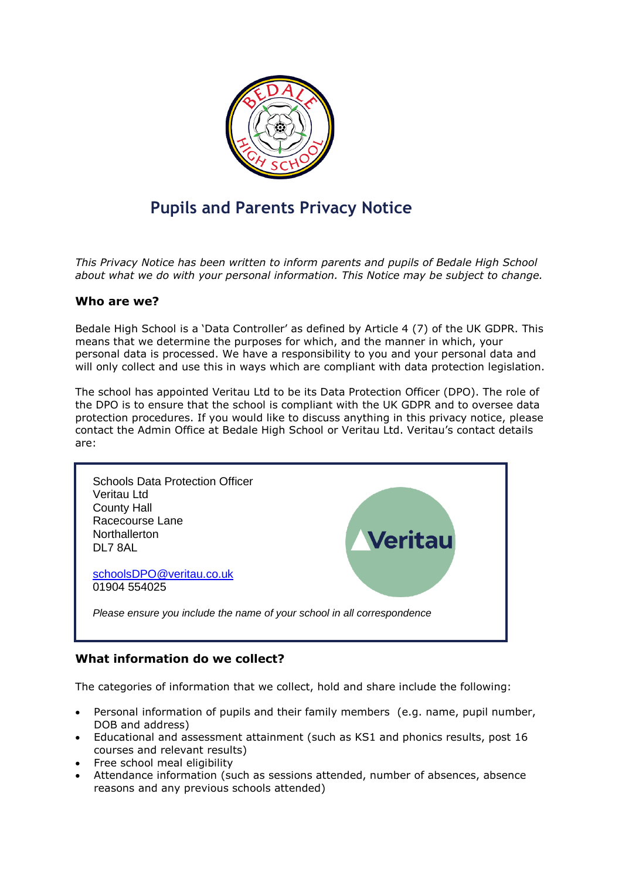

# **Pupils and Parents Privacy Notice**

*This Privacy Notice has been written to inform parents and pupils of Bedale High School about what we do with your personal information. This Notice may be subject to change.*

#### **Who are we?**

Bedale High School is a 'Data Controller' as defined by Article 4 (7) of the UK GDPR. This means that we determine the purposes for which, and the manner in which, your personal data is processed. We have a responsibility to you and your personal data and will only collect and use this in ways which are compliant with data protection legislation.

The school has appointed Veritau Ltd to be its Data Protection Officer (DPO). The role of the DPO is to ensure that the school is compliant with the UK GDPR and to oversee data protection procedures. If you would like to discuss anything in this privacy notice, please contact the Admin Office at Bedale High School or Veritau Ltd. Veritau's contact details are:



# **What information do we collect?**

The categories of information that we collect, hold and share include the following:

- Personal information of pupils and their family members (e.g. name, pupil number, DOB and address)
- Educational and assessment attainment (such as KS1 and phonics results, post 16 courses and relevant results)
- Free school meal eligibility
- Attendance information (such as sessions attended, number of absences, absence reasons and any previous schools attended)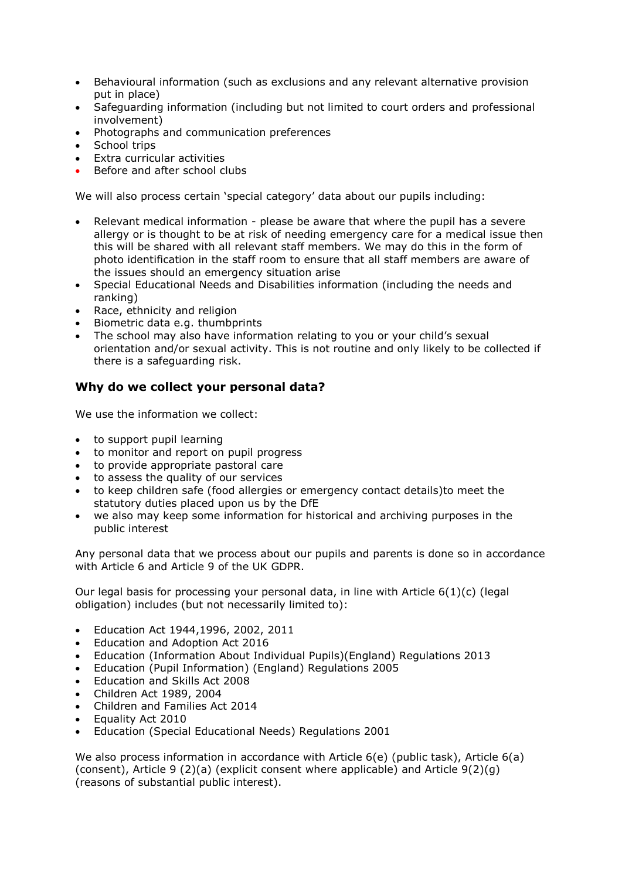- Behavioural information (such as exclusions and any relevant alternative provision put in place)
- Safeguarding information (including but not limited to court orders and professional involvement)
- Photographs and communication preferences
- School trips
- Extra curricular activities
- Before and after school clubs

We will also process certain 'special category' data about our pupils including:

- Relevant medical information please be aware that where the pupil has a severe allergy or is thought to be at risk of needing emergency care for a medical issue then this will be shared with all relevant staff members. We may do this in the form of photo identification in the staff room to ensure that all staff members are aware of the issues should an emergency situation arise
- Special Educational Needs and Disabilities information (including the needs and ranking)
- Race, ethnicity and religion
- Biometric data e.g. thumbprints
- The school may also have information relating to you or your child's sexual orientation and/or sexual activity. This is not routine and only likely to be collected if there is a safeguarding risk.

# **Why do we collect your personal data?**

We use the information we collect:

- to support pupil learning
- to monitor and report on pupil progress
- to provide appropriate pastoral care
- to assess the quality of our services
- to keep children safe (food allergies or emergency contact details)to meet the statutory duties placed upon us by the DfE
- we also may keep some information for historical and archiving purposes in the public interest

Any personal data that we process about our pupils and parents is done so in accordance with Article 6 and Article 9 of the UK GDPR.

Our legal basis for processing your personal data, in line with Article  $6(1)(c)$  (legal obligation) includes (but not necessarily limited to):

- Education Act 1944,1996, 2002, 2011
- Education and Adoption Act 2016
- Education (Information About Individual Pupils)(England) Regulations 2013
- Education (Pupil Information) (England) Regulations 2005
- Education and Skills Act 2008
- Children Act 1989, 2004
- Children and Families Act 2014
- Equality Act 2010
- Education (Special Educational Needs) Regulations 2001

We also process information in accordance with Article 6(e) (public task), Article 6(a) (consent), Article 9 (2)(a) (explicit consent where applicable) and Article 9(2)(g) (reasons of substantial public interest).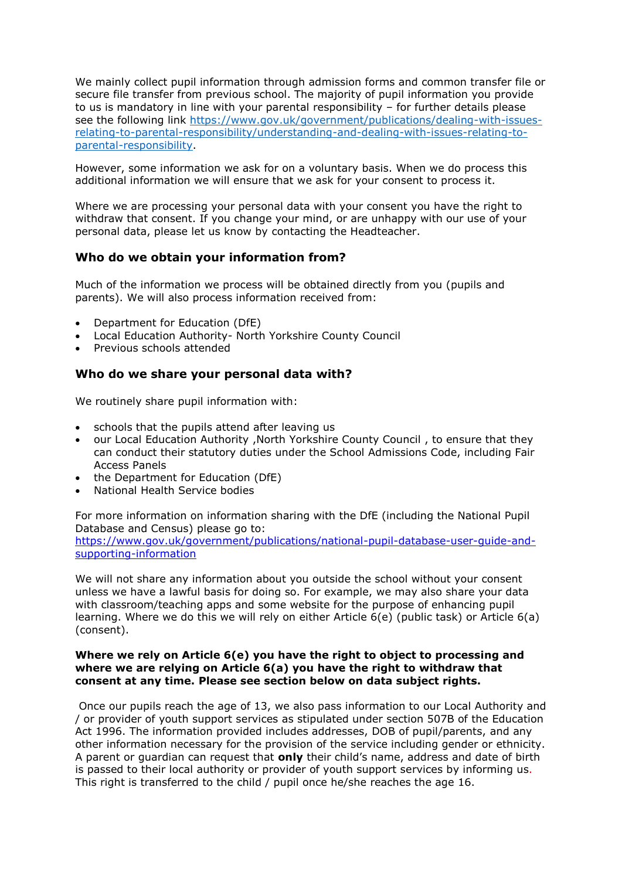We mainly collect pupil information through admission forms and common transfer file or secure file transfer from previous school. The majority of pupil information you provide to us is mandatory in line with your parental responsibility – for further details please see the following link [https://www.gov.uk/government/publications/dealing-with-issues](https://www.gov.uk/government/publications/dealing-with-issues-relating-to-parental-responsibility/understanding-and-dealing-with-issues-relating-to-parental-responsibility)[relating-to-parental-responsibility/understanding-and-dealing-with-issues-relating-to](https://www.gov.uk/government/publications/dealing-with-issues-relating-to-parental-responsibility/understanding-and-dealing-with-issues-relating-to-parental-responsibility)[parental-responsibility.](https://www.gov.uk/government/publications/dealing-with-issues-relating-to-parental-responsibility/understanding-and-dealing-with-issues-relating-to-parental-responsibility)

However, some information we ask for on a voluntary basis. When we do process this additional information we will ensure that we ask for your consent to process it.

Where we are processing your personal data with your consent you have the right to withdraw that consent. If you change your mind, or are unhappy with our use of your personal data, please let us know by contacting the Headteacher.

# **Who do we obtain your information from?**

Much of the information we process will be obtained directly from you (pupils and parents). We will also process information received from:

- Department for Education (DfE)
- Local Education Authority- North Yorkshire County Council
- Previous schools attended

#### **Who do we share your personal data with?**

We routinely share pupil information with:

- schools that the pupils attend after leaving us
- our Local Education Authority ,North Yorkshire County Council , to ensure that they can conduct their statutory duties under the School Admissions Code, including Fair Access Panels
- the Department for Education (DfE)
- National Health Service bodies

For more information on information sharing with the DfE (including the National Pupil Database and Census) please go to:

[https://www.gov.uk/government/publications/national-pupil-database-user-guide-and](https://www.gov.uk/government/publications/national-pupil-database-user-guide-and-supporting-information)[supporting-information](https://www.gov.uk/government/publications/national-pupil-database-user-guide-and-supporting-information)

We will not share any information about you outside the school without your consent unless we have a lawful basis for doing so. For example, we may also share your data with classroom/teaching apps and some website for the purpose of enhancing pupil learning. Where we do this we will rely on either Article 6(e) (public task) or Article 6(a) (consent).

#### **Where we rely on Article 6(e) you have the right to object to processing and where we are relying on Article 6(a) you have the right to withdraw that consent at any time. Please see section below on data subject rights.**

Once our pupils reach the age of 13, we also pass information to our Local Authority and / or provider of youth support services as stipulated under section 507B of the Education Act 1996. The information provided includes addresses, DOB of pupil/parents, and any other information necessary for the provision of the service including gender or ethnicity. A parent or guardian can request that **only** their child's name, address and date of birth is passed to their local authority or provider of youth support services by informing us. This right is transferred to the child / pupil once he/she reaches the age 16.